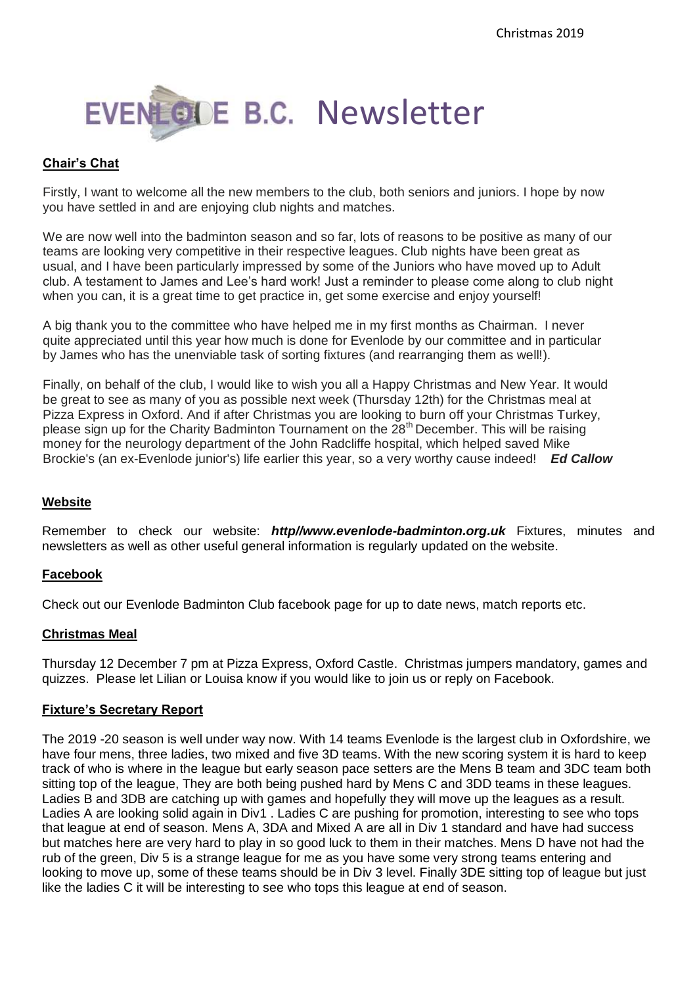

## **Chair's Chat**

Firstly, I want to welcome all the new members to the club, both seniors and juniors. I hope by now you have settled in and are enjoying club nights and matches.

We are now well into the badminton season and so far, lots of reasons to be positive as many of our teams are looking very competitive in their respective leagues. Club nights have been great as usual, and I have been particularly impressed by some of the Juniors who have moved up to Adult club. A testament to James and Lee's hard work! Just a reminder to please come along to club night when you can, it is a great time to get practice in, get some exercise and enjoy yourself!

A big thank you to the committee who have helped me in my first months as Chairman. I never quite appreciated until this year how much is done for Evenlode by our committee and in particular by James who has the unenviable task of sorting fixtures (and rearranging them as well!).

Finally, on behalf of the club, I would like to wish you all a Happy Christmas and New Year. It would be great to see as many of you as possible next week (Thursday 12th) for the Christmas meal at Pizza Express in Oxford. And if after Christmas you are looking to burn off your Christmas Turkey, please sign up for the Charity Badminton Tournament on the  $28<sup>th</sup>$  December. This will be raising money for the neurology department of the John Radcliffe hospital, which helped saved Mike Brockie's (an ex-Evenlode junior's) life earlier this year, so a very worthy cause indeed! *Ed Callow*

### **Website**

Remember to check our website: *http//www.evenlode-badminton.org.uk* Fixtures, minutes and newsletters as well as other useful general information is regularly updated on the website.

### **Facebook**

Check out our Evenlode Badminton Club facebook page for up to date news, match reports etc.

### **Christmas Meal**

Thursday 12 December 7 pm at Pizza Express, Oxford Castle. Christmas jumpers mandatory, games and quizzes. Please let Lilian or Louisa know if you would like to join us or reply on Facebook.

### **Fixture's Secretary Report**

The 2019 -20 season is well under way now. With 14 teams Evenlode is the largest club in Oxfordshire, we have four mens, three ladies, two mixed and five 3D teams. With the new scoring system it is hard to keep track of who is where in the league but early season pace setters are the Mens B team and 3DC team both sitting top of the league, They are both being pushed hard by Mens C and 3DD teams in these leagues. Ladies B and 3DB are catching up with games and hopefully they will move up the leagues as a result. Ladies A are looking solid again in Div1 . Ladies C are pushing for promotion, interesting to see who tops that league at end of season. Mens A, 3DA and Mixed A are all in Div 1 standard and have had success but matches here are very hard to play in so good luck to them in their matches. Mens D have not had the rub of the green, Div 5 is a strange league for me as you have some very strong teams entering and looking to move up, some of these teams should be in Div 3 level. Finally 3DE sitting top of league but just like the ladies C it will be interesting to see who tops this league at end of season.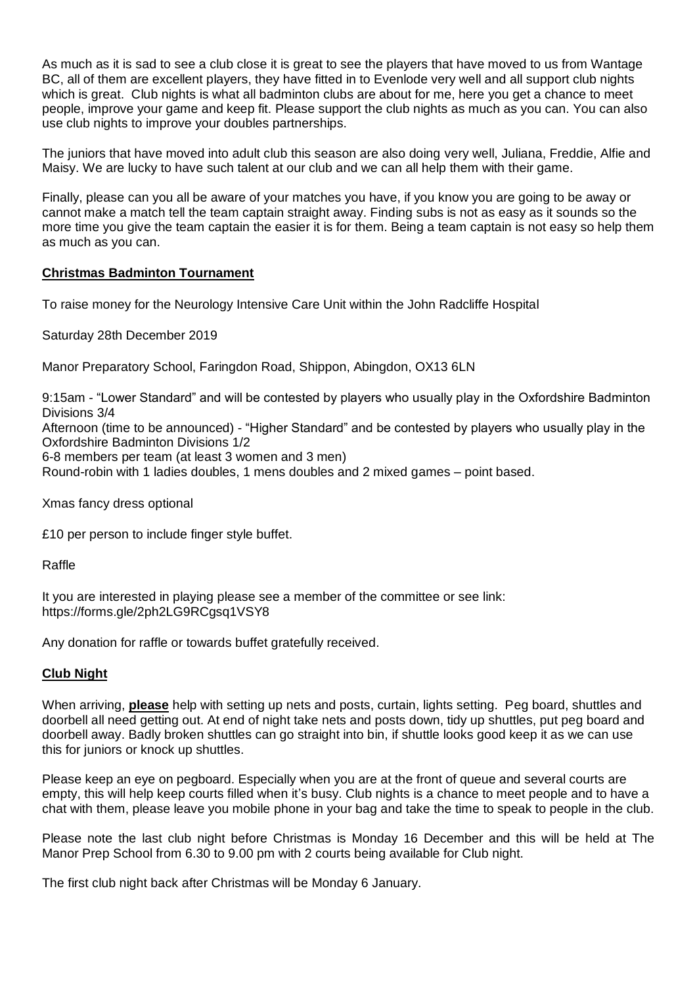As much as it is sad to see a club close it is great to see the players that have moved to us from Wantage BC, all of them are excellent players, they have fitted in to Evenlode very well and all support club nights which is great. Club nights is what all badminton clubs are about for me, here you get a chance to meet people, improve your game and keep fit. Please support the club nights as much as you can. You can also use club nights to improve your doubles partnerships.

The juniors that have moved into adult club this season are also doing very well, Juliana, Freddie, Alfie and Maisy. We are lucky to have such talent at our club and we can all help them with their game.

Finally, please can you all be aware of your matches you have, if you know you are going to be away or cannot make a match tell the team captain straight away. Finding subs is not as easy as it sounds so the more time you give the team captain the easier it is for them. Being a team captain is not easy so help them as much as you can.

### **Christmas Badminton Tournament**

To raise money for the Neurology Intensive Care Unit within the John Radcliffe Hospital

Saturday 28th December 2019

Manor Preparatory School, Faringdon Road, Shippon, Abingdon, OX13 6LN

9:15am - "Lower Standard" and will be contested by players who usually play in the Oxfordshire Badminton Divisions 3/4 Afternoon (time to be announced) - "Higher Standard" and be contested by players who usually play in the

Oxfordshire Badminton Divisions 1/2

6-8 members per team (at least 3 women and 3 men)

Round-robin with 1 ladies doubles, 1 mens doubles and 2 mixed games – point based.

Xmas fancy dress optional

£10 per person to include finger style buffet.

Raffle

It you are interested in playing please see a member of the committee or see link: https://forms.gle/2ph2LG9RCgsq1VSY8

Any donation for raffle or towards buffet gratefully received.

### **Club Night**

When arriving, **please** help with setting up nets and posts, curtain, lights setting. Peg board, shuttles and doorbell all need getting out. At end of night take nets and posts down, tidy up shuttles, put peg board and doorbell away. Badly broken shuttles can go straight into bin, if shuttle looks good keep it as we can use this for juniors or knock up shuttles.

Please keep an eye on pegboard. Especially when you are at the front of queue and several courts are empty, this will help keep courts filled when it's busy. Club nights is a chance to meet people and to have a chat with them, please leave you mobile phone in your bag and take the time to speak to people in the club.

Please note the last club night before Christmas is Monday 16 December and this will be held at The Manor Prep School from 6.30 to 9.00 pm with 2 courts being available for Club night.

The first club night back after Christmas will be Monday 6 January.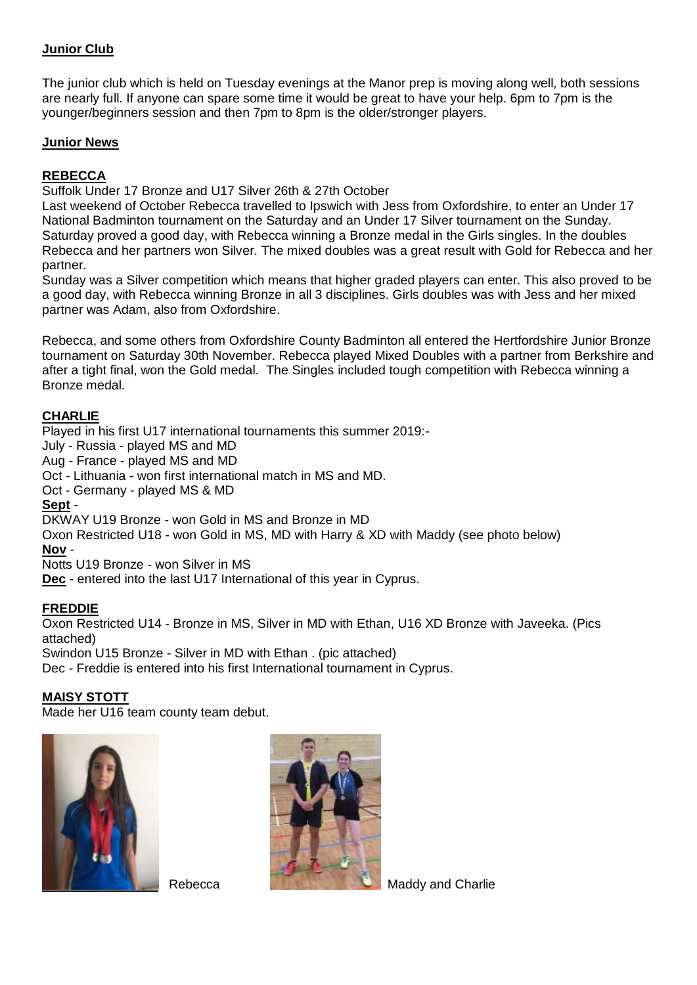## **Junior Club**

The junior club which is held on Tuesday evenings at the Manor prep is moving along well, both sessions are nearly full. If anyone can spare some time it would be great to have your help. 6pm to 7pm is the younger/beginners session and then 7pm to 8pm is the older/stronger players.

## **Junior News**

# **REBECCA**

Suffolk Under 17 Bronze and U17 Silver 26th & 27th October

Last weekend of October Rebecca travelled to Ipswich with Jess from Oxfordshire, to enter an Under 17 National Badminton tournament on the Saturday and an Under 17 Silver tournament on the Sunday. Saturday proved a good day, with Rebecca winning a Bronze medal in the Girls singles. In the doubles Rebecca and her partners won Silver. The mixed doubles was a great result with Gold for Rebecca and her partner.

Sunday was a Silver competition which means that higher graded players can enter. This also proved to be a good day, with Rebecca winning Bronze in all 3 disciplines. Girls doubles was with Jess and her mixed partner was Adam, also from Oxfordshire.

Rebecca, and some others from Oxfordshire County Badminton all entered the Hertfordshire Junior Bronze tournament on Saturday 30th November. Rebecca played Mixed Doubles with a partner from Berkshire and after a tight final, won the Gold medal. The Singles included tough competition with Rebecca winning a Bronze medal.

## **CHARLIE**

Played in his first U17 international tournaments this summer 2019:- July - Russia - played MS and MD Aug - France - played MS and MD Oct - Lithuania - won first international match in MS and MD. Oct - Germany - played MS & MD **Sept** - DKWAY U19 Bronze - won Gold in MS and Bronze in MD Oxon Restricted U18 - won Gold in MS, MD with Harry & XD with Maddy (see photo below) **Nov** - Notts U19 Bronze - won Silver in MS **Dec** - entered into the last U17 International of this year in Cyprus.

## **FREDDIE**

Oxon Restricted U14 - Bronze in MS, Silver in MD with Ethan, U16 XD Bronze with Javeeka. (Pics attached)

Swindon U15 Bronze - Silver in MD with Ethan . (pic attached)

Dec - Freddie is entered into his first International tournament in Cyprus.

### **MAISY STOTT**

Made her U16 team county team debut.